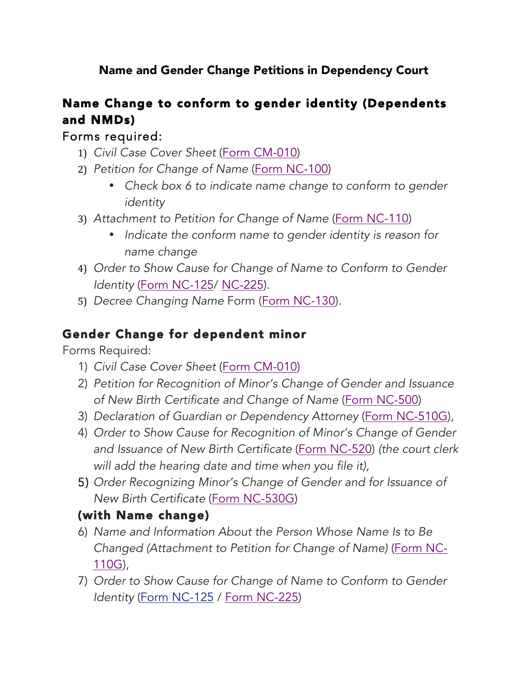Name and Gender Change Petitions in Dependency Court

# Name Change to conform to gender identity (Dependents and NMDs)

#### Forms required:

- 1) *Civil Case Cover Sheet* (Form CM-010)
- 2) *Petition for Change of Name* (Form NC-100)
	- *Check box 6 to indicate name change to conform to gender identity*
- 3) *Attachment to Petition for Change of Name* (Form NC-110)
	- *Indicate the conform name to gender identity is reason for name change*
- 4) *Order to Show Cause for Change of Name to Conform to Gender Identity* (Form NC-125/ NC-225).
- 5) *Decree Changing Name* Form (Form NC-130).

#### Gender Change for dependent minor

Forms Required:

- 1) *Civil Case Cover Sheet* (Form CM-010)
- 2) *Petition for Recognition of Minor's Change of Gender and Issuance of New Birth Certificate and Change of Name* (Form NC-500)
- 3) *Declaration of Guardian or Dependency Attorney* (Form NC-510G),
- 4) *Order to Show Cause for Recognition of Minor's Change of Gender and Issuance of New Birth Certificate* (Form NC-520) *(the court clerk will add the hearing date and time when you file it),*
- 5) *Order Recognizing Minor's Change of Gender and for Issuance of New Birth Certificate* (Form NC-530G)

## (with Name change)

- 6) *Name and Information About the Person Whose Name Is to Be Changed (Attachment to Petition for Change of Name)* (Form NC-110G),
- 7) *Order to Show Cause for Change of Name to Conform to Gender Identity* (Form NC-125 / Form NC-225)